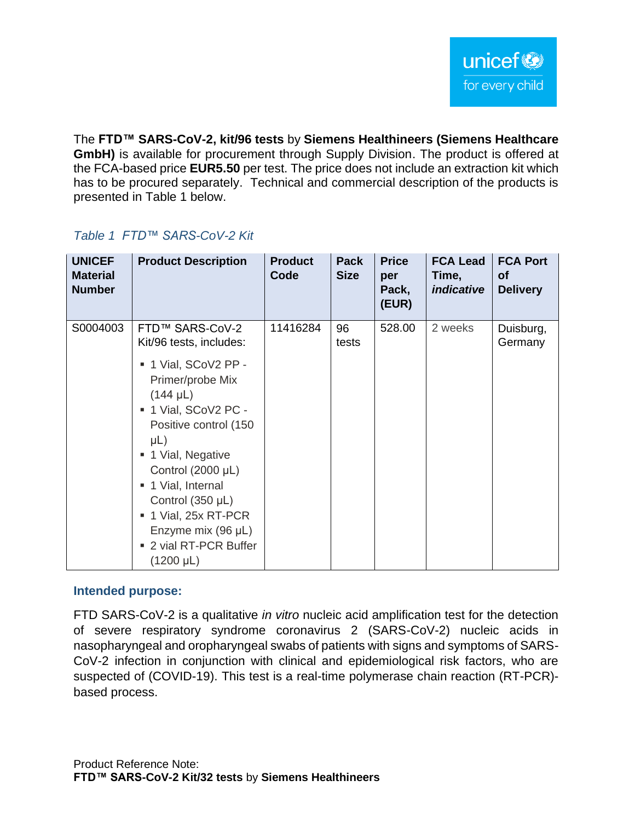The **FTD™ SARS-CoV-2, kit/96 tests** by **Siemens Healthineers (Siemens Healthcare GmbH)** is available for procurement through Supply Division. The product is offered at the FCA-based price **EUR5.50** per test. The price does not include an extraction kit which has to be procured separately. Technical and commercial description of the products is presented in Table 1 below.

| <b>UNICEF</b><br><b>Material</b><br><b>Number</b> | <b>Product Description</b>                                                                                                                                                                                                                                                  | <b>Product</b><br>Code | <b>Pack</b><br><b>Size</b> | <b>Price</b><br>per<br>Pack,<br>(EUR) | <b>FCA Lead</b><br>Time,<br><i>indicative</i> | <b>FCA Port</b><br>Οf<br><b>Delivery</b> |
|---------------------------------------------------|-----------------------------------------------------------------------------------------------------------------------------------------------------------------------------------------------------------------------------------------------------------------------------|------------------------|----------------------------|---------------------------------------|-----------------------------------------------|------------------------------------------|
| S0004003                                          | FTD™ SARS-CoV-2<br>Kit/96 tests, includes:<br>■ 1 Vial, SCoV2 PP -                                                                                                                                                                                                          | 11416284               | 96<br>tests                | 528.00                                | 2 weeks                                       | Duisburg,<br>Germany                     |
|                                                   | Primer/probe Mix<br>$(144 \mu L)$<br>■ 1 Vial, SCoV2 PC -<br>Positive control (150<br>$\mu$ L)<br>■ 1 Vial, Negative<br>Control (2000 µL)<br>■ 1 Vial, Internal<br>Control (350 µL)<br>1 Vial, 25x RT-PCR<br>Enzyme mix (96 µL)<br>■ 2 vial RT-PCR Buffer<br>$(1200 \mu L)$ |                        |                            |                                       |                                               |                                          |

# *Table 1 FTD™ SARS-CoV-2 Kit*

#### **Intended purpose:**

FTD SARS-CoV-2 is a qualitative *in vitro* nucleic acid amplification test for the detection of severe respiratory syndrome coronavirus 2 (SARS-CoV-2) nucleic acids in nasopharyngeal and oropharyngeal swabs of patients with signs and symptoms of SARS-CoV-2 infection in conjunction with clinical and epidemiological risk factors, who are suspected of (COVID-19). This test is a real-time polymerase chain reaction (RT-PCR) based process.